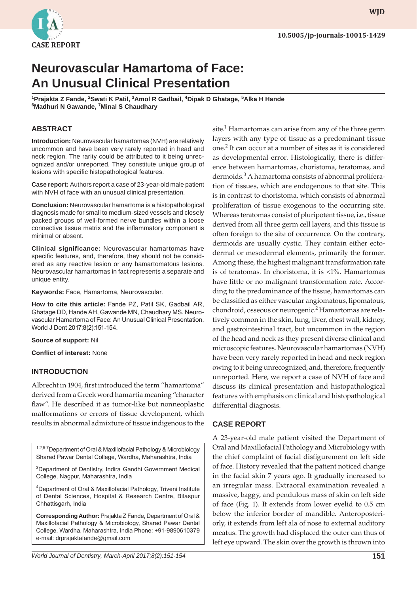

**WJD WJD**

# **Neurovascular Hamartoma of Face: An Unusual Clinical Presentation**

<sup>1</sup>Prajakta Z Fande, <sup>2</sup>Swati K Patil, <sup>3</sup>Amol R Gadbail, <sup>4</sup>Dipak D Ghatage, <sup>5</sup>Alka H Hande **6 Madhuri N Gawande, 7 Minal S Chaudhary**

## **ABSTRACT**

**Introduction:** Neurovascular hamartomas (NVH) are relatively uncommon and have been very rarely reported in head and neck region. The rarity could be attributed to it being unrecognized and/or unreported. They constitute unique group of lesions with specific histopathological features.

**Case report:** Authors report a case of 23-year-old male patient with NVH of face with an unusual clinical presentation.

**Conclusion:** Neurovascular hamartoma is a histopathological diagnosis made for small to medium-sized vessels and closely packed groups of well-formed nerve bundles within a loose connective tissue matrix and the inflammatory component is minimal or absent.

**Clinical significance:** Neurovascular hamartomas have specific features, and, therefore, they should not be considered as any reactive lesion or any hamartomatous lesions. Neurovascular hamartomas in fact represents a separate and unique entity.

**Keywords:** Face, Hamartoma, Neurovascular.

**How to cite this article:** Fande PZ, Patil SK, Gadbail AR, Ghatage DD, Hande AH, Gawande MN, Chaudhary MS. Neurovascular Hamartoma of Face: An Unusual Clinical Presentation. World J Dent 2017;8(2):151-154.

**Source of support:** Nil

**Conflict of interest:** None

#### **INTRODUCTION**

Albrecht in 1904, first introduced the term "hamartoma" derived from a Greek word hamartia meaning "character flaw". He described it as tumor-like but nonneoplastic malformations or errors of tissue development, which results in abnormal admixture of tissue indigenous to the

1,2,5-7 Department of Oral & Maxillofacial Pathology & Microbiology Sharad Pawar Dental College, Wardha, Maharashtra, India

3 Department of Dentistry, Indira Gandhi Government Medical College, Nagpur, Maharashtra, India

4 Department of Oral & Maxillofacial Pathology, Triveni Institute of Dental Sciences, Hospital & Research Centre, Bilaspur Chhattisgarh, India

**Corresponding Author:** Prajakta Z Fande, Department of Oral & Maxillofacial Pathology & Microbiology, Sharad Pawar Dental College, Wardha, Maharashtra, India Phone: +91-9890610379 e-mail: drprajaktafande@gmail.com

site.<sup>1</sup> Hamartomas can arise from any of the three germ layers with any type of tissue as a predominant tissue one.<sup>2</sup> It can occur at a number of sites as it is considered as developmental error. Histologically, there is difference between hamartomas, choristoma, teratomas, and dermoids.<sup>3</sup> A hamartoma consists of abnormal proliferation of tissues, which are endogenous to that site. This is in contrast to choristoma, which consists of abnormal proliferation of tissue exogenous to the occurring site. Whereas teratomas consist of pluripotent tissue, i.e., tissue derived from all three germ cell layers, and this tissue is often foreign to the site of occurrence. On the contrary, dermoids are usually cystic. They contain either ectodermal or mesodermal elements, primarily the former. Among these, the highest malignant transformation rate is of teratomas. In choristoma, it is  $\langle 1\%$ . Hamartomas have little or no malignant transformation rate. According to the predominance of the tissue, hamartomas can be classified as either vascular angiomatous, lipomatous, chondroid, osseous or neurogenic.<sup>2</sup> Hamartomas are relatively common in the skin, lung, liver, chest wall, kidney, and gastrointestinal tract, but uncommon in the region of the head and neck as they present diverse clinical and microscopic features. Neurovascular hamartomas (NVH) have been very rarely reported in head and neck region owing to it being unrecognized, and, therefore, frequently unreported. Here, we report a case of NVH of face and discuss its clinical presentation and histopathological features with emphasis on clinical and histopathological differential diagnosis.

#### **CASE REPORT**

A 23-year-old male patient visited the Department of Oral and Maxillofacial Pathology and Microbiology with the chief complaint of facial disfigurement on left side of face. History revealed that the patient noticed change in the facial skin 7 years ago. It gradually increased to an irregular mass. Extraoral examination revealed a massive, baggy, and pendulous mass of skin on left side of face (Fig. 1). It extends from lower eyelid to 0.5 cm below the inferior border of mandible. Anteroposteriorly, it extends from left ala of nose to external auditory meatus. The growth had displaced the outer can thus of left eye upward. The skin over the growth is thrown into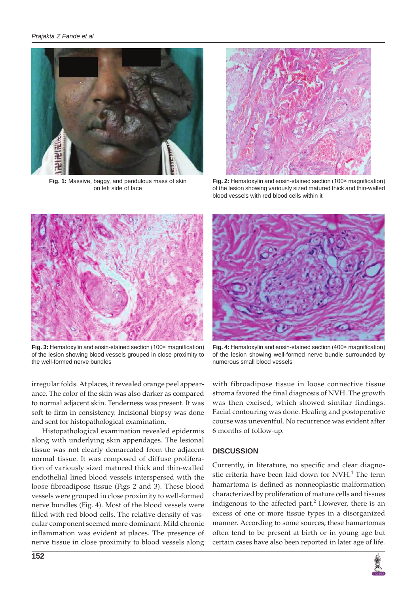

**Fig. 1:** Massive, baggy, and pendulous mass of skin on left side of face



**Fig. 2:** Hematoxylin and eosin-stained section (100× magnification) of the lesion showing variously sized matured thick and thin-walled blood vessels with red blood cells within it



**Fig. 3:** Hematoxylin and eosin-stained section (100× magnification) of the lesion showing blood vessels grouped in close proximity to the well-formed nerve bundles



**Fig. 4:** Hematoxylin and eosin-stained section (400× magnification) of the lesion showing well-formed nerve bundle surrounded by numerous small blood vessels

irregular folds. At places, it revealed orange peel appearance. The color of the skin was also darker as compared to normal adjacent skin. Tenderness was present. It was soft to firm in consistency. Incisional biopsy was done and sent for histopathological examination.

Histopathological examination revealed epidermis along with underlying skin appendages. The lesional tissue was not clearly demarcated from the adjacent normal tissue. It was composed of diffuse proliferation of variously sized matured thick and thin-walled endothelial lined blood vessels interspersed with the loose fibroadipose tissue (Figs 2 and 3). These blood vessels were grouped in close proximity to well-formed nerve bundles (Fig. 4). Most of the blood vessels were filled with red blood cells. The relative density of vascular component seemed more dominant. Mild chronic inflammation was evident at places. The presence of nerve tissue in close proximity to blood vessels along

with fibroadipose tissue in loose connective tissue stroma favored the final diagnosis of NVH. The growth was then excised, which showed similar findings. Facial contouring was done. Healing and postoperative course was uneventful. No recurrence was evident after 6 months of follow-up.

## **DISCUSSION**

Currently, in literature, no specific and clear diagnostic criteria have been laid down for NVH.<sup>4</sup> The term hamartoma is defined as nonneoplastic malformation characterized by proliferation of mature cells and tissues indigenous to the affected part.<sup>2</sup> However, there is an excess of one or more tissue types in a disorganized manner. According to some sources, these hamartomas often tend to be present at birth or in young age but certain cases have also been reported in later age of life.

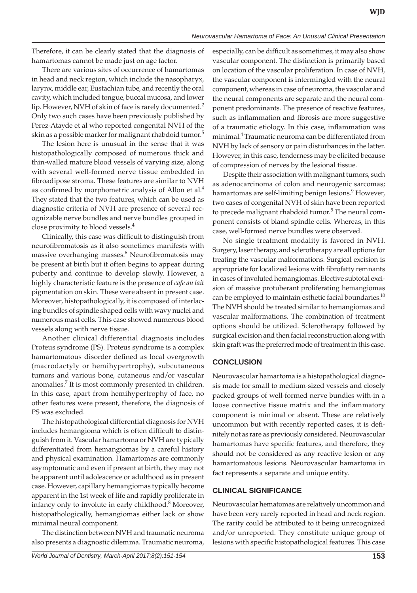Therefore, it can be clearly stated that the diagnosis of hamartomas cannot be made just on age factor.

There are various sites of occurrence of hamartomas in head and neck region, which include the nasopharyx, larynx, middle ear, Eustachian tube, and recently the oral cavity, which included tongue, buccal mucosa, and lower lip. However, NVH of skin of face is rarely documented.<sup>2</sup> Only two such cases have been previously published by Perez-Atayde et al who reported congenital NVH of the skin as a possible marker for malignant rhabdoid tumor.<sup>5</sup>

The lesion here is unusual in the sense that it was histopathologically composed of numerous thick and thin-walled mature blood vessels of varying size, along with several well-formed nerve tissue embedded in fibroadipose stroma. These features are similar to NVH as confirmed by morphometric analysis of Allon et  $al<sup>4</sup>$ They stated that the two features, which can be used as diagnostic criteria of NVH are presence of several recognizable nerve bundles and nerve bundles grouped in close proximity to blood vessels.4

Clinically, this case was difficult to distinguish from neurofibromatosis as it also sometimes manifests with massive overhanging masses.<sup>6</sup> Neurofibromatosis may be present at birth but it often begins to appear during puberty and continue to develop slowly. However, a highly characteristic feature is the presence of *cafe au lait* pigmentation on skin. These were absent in present case. Moreover, histopathologically, it is composed of interlacing bundles of spindle shaped cells with wavy nuclei and numerous mast cells. This case showed numerous blood vessels along with nerve tissue.

Another clinical differential diagnosis includes Proteus syndrome (PS). Proteus syndrome is a complex hamartomatous disorder defined as local overgrowth (macrodactyly or hemihypertrophy), subcutaneous tumors and various bone, cutaneous and/or vascular anomalies.<sup>7</sup> It is most commonly presented in children. In this case, apart from hemihypertrophy of face, no other features were present, therefore, the diagnosis of PS was excluded.

The histopathological differential diagnosis for NVH includes hemangioma which is often difficult to distinguish from it. Vascular hamartoma or NVH are typically differentiated from hemangiomas by a careful history and physical examination. Hamartomas are commonly asymptomatic and even if present at birth, they may not be apparent until adolescence or adulthood as in present case. However, capillary hemangiomas typically become apparent in the 1st week of life and rapidly proliferate in infancy only to involute in early childhood.<sup>8</sup> Moreover, histopathologically, hemangiomas either lack or show minimal neural component.

The distinction between NVH and traumatic neuroma also presents a diagnostic dilemma. Traumatic neuroma, especially, can be difficult as sometimes, it may also show vascular component. The distinction is primarily based on location of the vascular proliferation. In case of NVH, the vascular component is intermingled with the neural component, whereas in case of neuroma, the vascular and the neural components are separate and the neural component predominants. The presence of reactive features, such as inflammation and fibrosis are more suggestive of a traumatic etiology. In this case, inflammation was minimal.4 Traumatic neuroma can be differentiated from NVH by lack of sensory or pain disturbances in the latter. However, in this case, tenderness may be elicited because of compression of nerves by the lesional tissue.

Despite their association with malignant tumors, such as adenocarcinoma of colon and neurogenic sarcomas; hamartomas are self-limiting benign lesions.<sup>9</sup> However, two cases of congenital NVH of skin have been reported to precede malignant rhabdoid tumor.<sup>5</sup> The neural component consists of bland spindle cells. Whereas, in this case, well-formed nerve bundles were observed.

No single treatment modality is favored in NVH. Surgery, laser therapy, and sclerotherapy are all options for treating the vascular malformations. Surgical excision is appropriate for localized lesions with fibrofatty remnants in cases of involuted hemangiomas. Elective subtotal excision of massive protuberant proliferating hemangiomas can be employed to maintain esthetic facial boundaries.<sup>10</sup> The NVH should be treated similar to hemangiomas and vascular malformations. The combination of treatment options should be utilized. Sclerotherapy followed by surgical excision and then facial reconstruction along with skin graft was the preferred mode of treatment in this case.

# **CONCLUSION**

Neurovascular hamartoma is a histopathological diagnosis made for small to medium-sized vessels and closely packed groups of well-formed nerve bundles with-in a loose connective tissue matrix and the inflammatory component is minimal or absent. These are relatively uncommon but with recently reported cases, it is definitely not as rare as previously considered. Neurovascular hamartomas have specific features, and therefore, they should not be considered as any reactive lesion or any hamartomatous lesions. Neurovascular hamartoma in fact represents a separate and unique entity.

# **CLINICAL SIGNIFICANCE**

Neurovascular hematomas are relatively uncommon and have been very rarely reported in head and neck region. The rarity could be attributed to it being unrecognized and/or unreported. They constitute unique group of lesions with specific histopathological features. This case